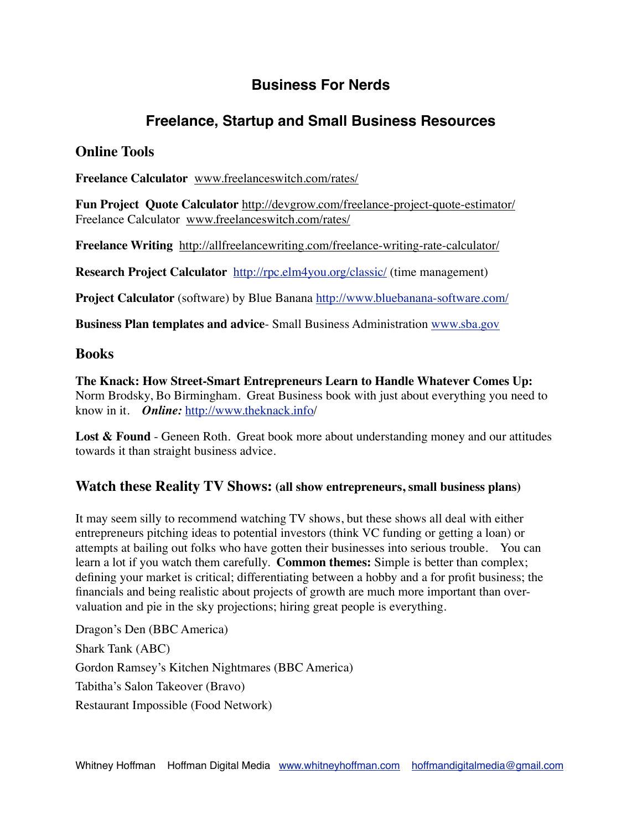# **Business For Nerds**

## **Freelance, Startup and Small Business Resources**

### **Online Tools**

**Freelance Calculator** [www.freelanceswitch.com/rates/](http://www.freelanceswitch.com/rates/)

**Fun Project Quote Calculator** <http://devgrow.com/freelance-project-quote-estimator/> Freelance Calculator [www.freelanceswitch.com/rates/](http://www.freelanceswitch.com/rates/)

**Freelance Writing** <http://allfreelancewriting.com/freelance-writing-rate-calculator/>

**Research Project Calculator** <http://rpc.elm4you.org/classic/> (time management)

**Project Calculator** (software) by Blue Banana<http://www.bluebanana-software.com/>

**Business Plan templates and advice**- Small Business Administration [www.sba.gov](http://www.sba.gov)

#### **Books**

**The Knack: How Street-Smart Entrepreneurs Learn to Handle Whatever Comes Up:**  Norm Brodsky, Bo Birmingham. Great Business book with just about everything you need to know in it. *Online:* <http://www.theknack.info>/

Lost & Found - Geneen Roth. Great book more about understanding money and our attitudes towards it than straight business advice.

#### **Watch these Reality TV Shows: (all show entrepreneurs, small business plans)**

It may seem silly to recommend watching TV shows, but these shows all deal with either entrepreneurs pitching ideas to potential investors (think VC funding or getting a loan) or attempts at bailing out folks who have gotten their businesses into serious trouble. You can learn a lot if you watch them carefully. **Common themes:** Simple is better than complex; defining your market is critical; differentiating between a hobby and a for profit business; the financials and being realistic about projects of growth are much more important than overvaluation and pie in the sky projections; hiring great people is everything.

Dragon's Den (BBC America) Shark Tank (ABC) Gordon Ramsey's Kitchen Nightmares (BBC America) Tabitha's Salon Takeover (Bravo) Restaurant Impossible (Food Network)